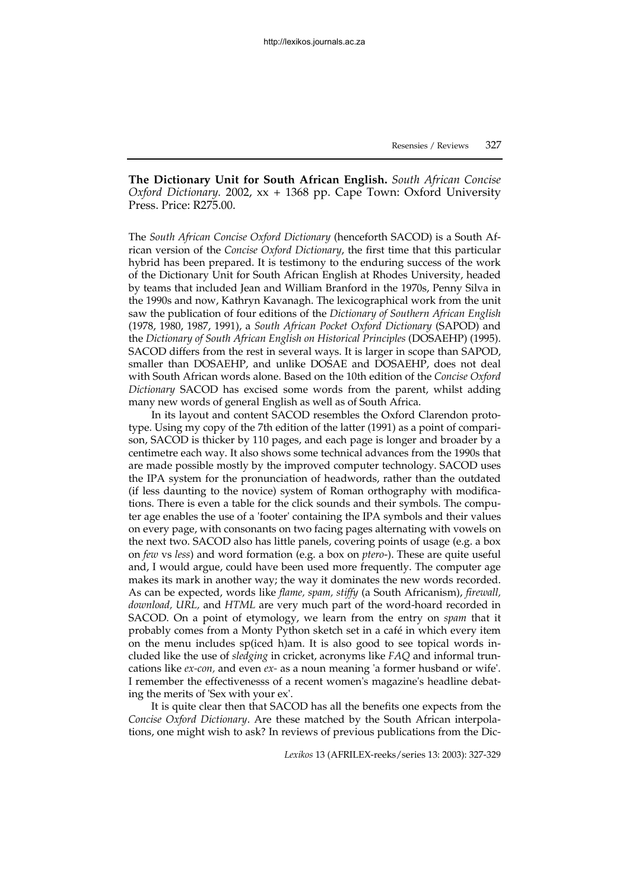**The Dictionary Unit for South African English.** *South African Concise Oxford Dictionary.* 2002, xx + 1368 pp. Cape Town: Oxford University Press. Price: R275.00.

The *South African Concise Oxford Dictionary* (henceforth SACOD) is a South African version of the *Concise Oxford Dictionary*, the first time that this particular hybrid has been prepared. It is testimony to the enduring success of the work of the Dictionary Unit for South African English at Rhodes University, headed by teams that included Jean and William Branford in the 1970s, Penny Silva in the 1990s and now, Kathryn Kavanagh. The lexicographical work from the unit saw the publication of four editions of the *Dictionary of Southern African English* (1978, 1980, 1987, 1991), a *South African Pocket Oxford Dictionary* (SAPOD) and the *Dictionary of South African English on Historical Principles* (DOSAEHP) (1995). SACOD differs from the rest in several ways. It is larger in scope than SAPOD, smaller than DOSAEHP, and unlike DOSAE and DOSAEHP, does not deal with South African words alone. Based on the 10th edition of the *Concise Oxford Dictionary* SACOD has excised some words from the parent, whilst adding many new words of general English as well as of South Africa.

In its layout and content SACOD resembles the Oxford Clarendon prototype. Using my copy of the 7th edition of the latter (1991) as a point of comparison, SACOD is thicker by 110 pages, and each page is longer and broader by a centimetre each way. It also shows some technical advances from the 1990s that are made possible mostly by the improved computer technology. SACOD uses the IPA system for the pronunciation of headwords, rather than the outdated (if less daunting to the novice) system of Roman orthography with modifications. There is even a table for the click sounds and their symbols. The computer age enables the use of a 'footer' containing the IPA symbols and their values on every page, with consonants on two facing pages alternating with vowels on the next two. SACOD also has little panels, covering points of usage (e.g. a box on *few* vs *less*) and word formation (e.g. a box on *ptero*-). These are quite useful and, I would argue, could have been used more frequently. The computer age makes its mark in another way; the way it dominates the new words recorded. As can be expected, words like *flame, spam, stiffy* (a South Africanism), *firewall, download, URL,* and *HTML* are very much part of the word-hoard recorded in SACOD. On a point of etymology, we learn from the entry on *spam* that it probably comes from a Monty Python sketch set in a café in which every item on the menu includes sp(iced h)am. It is also good to see topical words included like the use of *sledging* in cricket, acronyms like *FAQ* and informal truncations like *ex-con,* and even *ex-* as a noun meaning 'a former husband or wife'. I remember the effectivenesss of a recent women's magazine's headline debating the merits of 'Sex with your ex'.

It is quite clear then that SACOD has all the benefits one expects from the *Concise Oxford Dictionary*. Are these matched by the South African interpolations, one might wish to ask? In reviews of previous publications from the Dic-

*Lexikos* 13 (AFRILEX-reeks/series 13: 2003): 327-329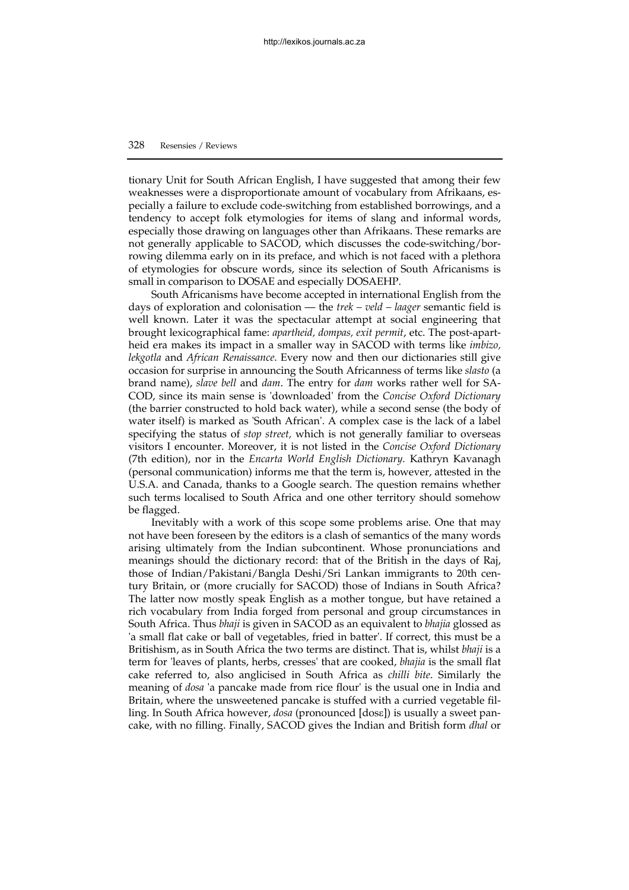## 328 Resensies / Reviews

tionary Unit for South African English, I have suggested that among their few weaknesses were a disproportionate amount of vocabulary from Afrikaans, especially a failure to exclude code-switching from established borrowings, and a tendency to accept folk etymologies for items of slang and informal words, especially those drawing on languages other than Afrikaans. These remarks are not generally applicable to SACOD, which discusses the code-switching/borrowing dilemma early on in its preface, and which is not faced with a plethora of etymologies for obscure words, since its selection of South Africanisms is small in comparison to DOSAE and especially DOSAEHP.

South Africanisms have become accepted in international English from the days of exploration and colonisation — the *trek – veld – laager* semantic field is well known. Later it was the spectacular attempt at social engineering that brought lexicographical fame: *apartheid, dompas, exit permit*, etc. The post-apartheid era makes its impact in a smaller way in SACOD with terms like *imbizo, lekgotla* and *African Renaissance*. Every now and then our dictionaries still give occasion for surprise in announcing the South Africanness of terms like *slasto* (a brand name), *slave bell* and *dam*. The entry for *dam* works rather well for SA-COD, since its main sense is 'downloaded' from the *Concise Oxford Dictionary* (the barrier constructed to hold back water), while a second sense (the body of water itself) is marked as 'South African'. A complex case is the lack of a label specifying the status of *stop street,* which is not generally familiar to overseas visitors I encounter. Moreover, it is not listed in the *Concise Oxford Dictionary* (7th edition), nor in the *Encarta World English Dictionary.* Kathryn Kavanagh (personal communication) informs me that the term is, however, attested in the U.S.A. and Canada, thanks to a Google search. The question remains whether such terms localised to South Africa and one other territory should somehow be flagged.

Inevitably with a work of this scope some problems arise. One that may not have been foreseen by the editors is a clash of semantics of the many words arising ultimately from the Indian subcontinent. Whose pronunciations and meanings should the dictionary record: that of the British in the days of Raj, those of Indian/Pakistani/Bangla Deshi/Sri Lankan immigrants to 20th century Britain, or (more crucially for SACOD) those of Indians in South Africa? The latter now mostly speak English as a mother tongue, but have retained a rich vocabulary from India forged from personal and group circumstances in South Africa. Thus *bhaji* is given in SACOD as an equivalent to *bhajia* glossed as 'a small flat cake or ball of vegetables, fried in batter'. If correct, this must be a Britishism, as in South Africa the two terms are distinct. That is, whilst *bhaji* is a term for 'leaves of plants, herbs, cresses' that are cooked, *bhajia* is the small flat cake referred to, also anglicised in South Africa as *chilli bite*. Similarly the meaning of *dosa* 'a pancake made from rice flour' is the usual one in India and Britain, where the unsweetened pancake is stuffed with a curried vegetable filling. In South Africa however, *dosa* (pronounced [dosε]) is usually a sweet pancake, with no filling. Finally, SACOD gives the Indian and British form *dhal* or